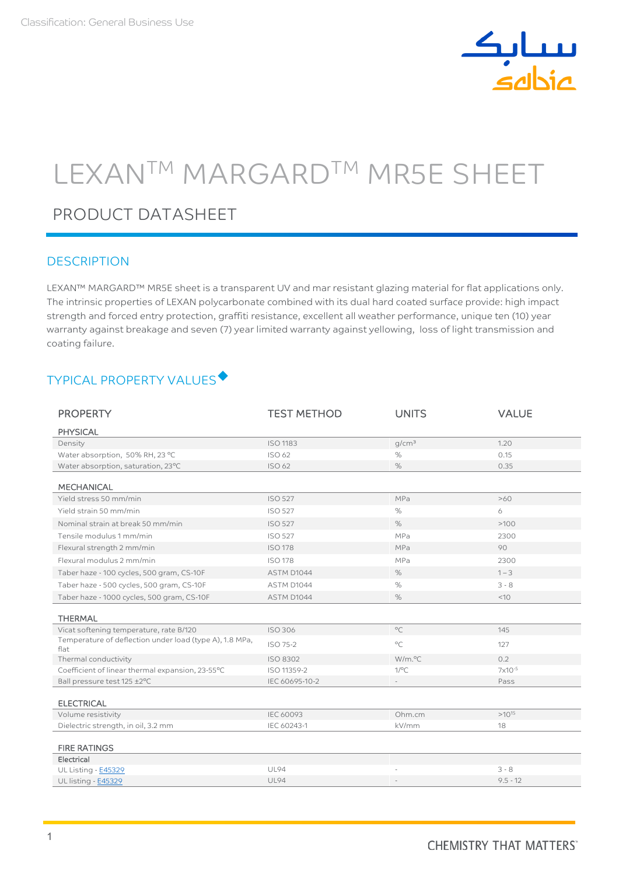

# LEXANTM MARGARDTM MR5E SHEET

# PRODUCT DATASHEET

#### **DESCRIPTION**

LEXAN™ MARGARD™ MR5E sheet is a transparent UV and mar resistant glazing material for flat applications only. The intrinsic properties of LEXAN polycarbonate combined with its dual hard coated surface provide: high impact strength and forced entry protection, graffiti resistance, excellent all weather performance, unique ten (10) year warranty against breakage and seven (7) year limited warranty against yellowing, loss of light transmission and coating failure.

# TYPICAL PROPERTY VALUES

| <b>PROPERTY</b>                                                 | <b>TEST METHOD</b> | <b>UNITS</b>      | <b>VALUE</b> |
|-----------------------------------------------------------------|--------------------|-------------------|--------------|
| <b>PHYSICAL</b>                                                 |                    |                   |              |
| Density                                                         | <b>ISO 1183</b>    | q/cm <sup>3</sup> | 1.20         |
| Water absorption, 50% RH, 23 °C                                 | ISO 62             | $\%$              | 0.15         |
| Water absorption, saturation, 23°C                              | ISO 62             | $\%$              | 0.35         |
| <b>MECHANICAL</b>                                               |                    |                   |              |
| Yield stress 50 mm/min                                          | <b>ISO 527</b>     | MPa               | >60          |
| Yield strain 50 mm/min                                          | <b>ISO 527</b>     | %                 | 6            |
| Nominal strain at break 50 mm/min                               | <b>ISO 527</b>     | %                 | >100         |
| Tensile modulus 1 mm/min                                        | <b>ISO 527</b>     | MPa               | 2300         |
| Flexural strength 2 mm/min                                      | <b>ISO 178</b>     | MPa               | 90           |
| Flexural modulus 2 mm/min                                       | <b>ISO 178</b>     | MPa               | 2300         |
| Taber haze - 100 cycles, 500 gram, CS-10F                       | ASTM D1044         | %                 | $1 - 3$      |
| Taber haze - 500 cycles, 500 gram, CS-10F                       | ASTM D1044         | %                 | $3 - 8$      |
| Taber haze - 1000 cycles, 500 gram, CS-10F                      | ASTM D1044         | $\%$              | <10          |
| <b>THERMAL</b>                                                  |                    |                   |              |
| Vicat softening temperature, rate B/120                         | ISO 306            | $^{\circ}$ C      | 145          |
| Temperature of deflection under load (type A), 1.8 MPa,<br>flat | ISO 75-2           | $^{\circ}C$       | 127          |
| Thermal conductivity                                            | ISO 8302           | W/m.°C            | 0.2          |
| Coefficient of linear thermal expansion, 23-55°C                | ISO 11359-2        | $1$ /°C           | $7x10^{-5}$  |
| Ball pressure test 125 ±2°C                                     | IEC 60695-10-2     |                   | Pass         |
| <b>ELECTRICAL</b>                                               |                    |                   |              |
| Volume resistivity                                              | <b>IEC 60093</b>   | Ohm.cm            | $>10^{15}$   |
| Dielectric strength, in oil, 3.2 mm                             | IEC 60243-1        | kV/mm             | 18           |
| <b>FIRE RATINGS</b>                                             |                    |                   |              |
| Electrical                                                      |                    |                   |              |
| UL Listing - E45329                                             | <b>UL94</b>        |                   | $3 - 8$      |
| UL listing - E45329                                             | <b>UL94</b>        |                   | $9.5 - 12$   |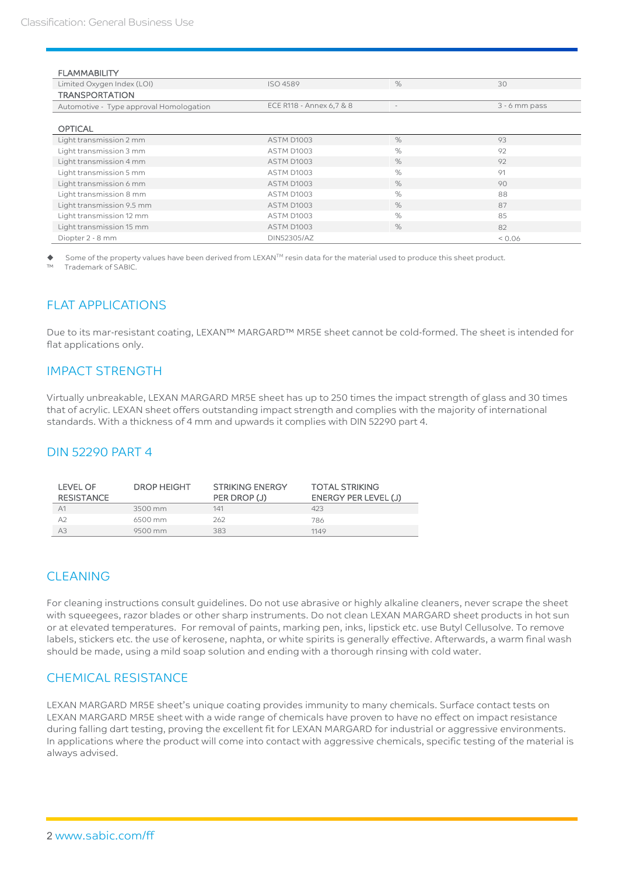| <b>FLAMMABILITY</b>                     |                          |      |                 |
|-----------------------------------------|--------------------------|------|-----------------|
| Limited Oxygen Index (LOI)              | ISO 4589                 | $\%$ | 30              |
| <b>TRANSPORTATION</b>                   |                          |      |                 |
| Automotive - Type approval Homologation | ECE R118 - Annex 6,7 & 8 |      | $3 - 6$ mm pass |
|                                         |                          |      |                 |
| <b>OPTICAL</b>                          |                          |      |                 |
| Light transmission 2 mm                 | ASTM D1003               | $\%$ | 93              |
| Light transmission 3 mm                 | ASTM D1003               | $\%$ | 92              |
| Light transmission 4 mm                 | ASTM D1003               | $\%$ | 92              |
| Light transmission 5 mm                 | ASTM D1003               | $\%$ | 91              |
| Light transmission 6 mm                 | <b>ASTM D1003</b>        | $\%$ | 90              |
| Light transmission 8 mm                 | ASTM D1003               | $\%$ | 88              |
| Light transmission 9.5 mm               | ASTM D1003               | $\%$ | 87              |
| Light transmission 12 mm                | ASTM D1003               | $\%$ | 85              |
| Light transmission 15 mm                | ASTM D1003               | $\%$ | 82              |
| Diopter 2 - 8 mm                        | DIN52305/AZ              |      | 0.06            |

Some of the property values have been derived from LEXAN™ resin data for the material used to produce this sheet product. Trademark of SABIC.

## FLAT APPLICATIONS

Due to its mar-resistant coating, LEXAN™ MARGARD™ MR5E sheet cannot be cold-formed. The sheet is intended for flat applications only.

#### IMPACT STRENGTH

Virtually unbreakable, LEXAN MARGARD MR5E sheet has up to 250 times the impact strength of glass and 30 times that of acrylic. LEXAN sheet offers outstanding impact strength and complies with the majority of international standards. With a thickness of 4 mm and upwards it complies with DIN 52290 part 4.

## DIN 52290 PART 4

| LEVEL OF<br><b>RESISTANCE</b> | <b>DROP HEIGHT</b> | <b>STRIKING ENERGY</b><br>PER DROP (J) | <b>TOTAL STRIKING</b><br>ENERGY PER LEVEL (J) |
|-------------------------------|--------------------|----------------------------------------|-----------------------------------------------|
| A <sub>1</sub>                | 3500 mm            | 141                                    | 423                                           |
| A2                            | 6500 mm            | 262                                    | 786                                           |
| A3                            | 9500 mm            | 383                                    | 1149                                          |

## CLEANING

For cleaning instructions consult guidelines. Do not use abrasive or highly alkaline cleaners, never scrape the sheet with squeegees, razor blades or other sharp instruments. Do not clean LEXAN MARGARD sheet products in hot sun or at elevated temperatures. For removal of paints, marking pen, inks, lipstick etc. use Butyl Cellusolve. To remove labels, stickers etc. the use of kerosene, naphta, or white spirits is generally effective. Afterwards, a warm final wash should be made, using a mild soap solution and ending with a thorough rinsing with cold water.

## CHEMICAL RESISTANCE

LEXAN MARGARD MR5E sheet's unique coating provides immunity to many chemicals. Surface contact tests on LEXAN MARGARD MR5E sheet with a wide range of chemicals have proven to have no effect on impact resistance during falling dart testing, proving the excellent fit for LEXAN MARGARD for industrial or aggressive environments. In applications where the product will come into contact with aggressive chemicals, specific testing of the material is always advised.